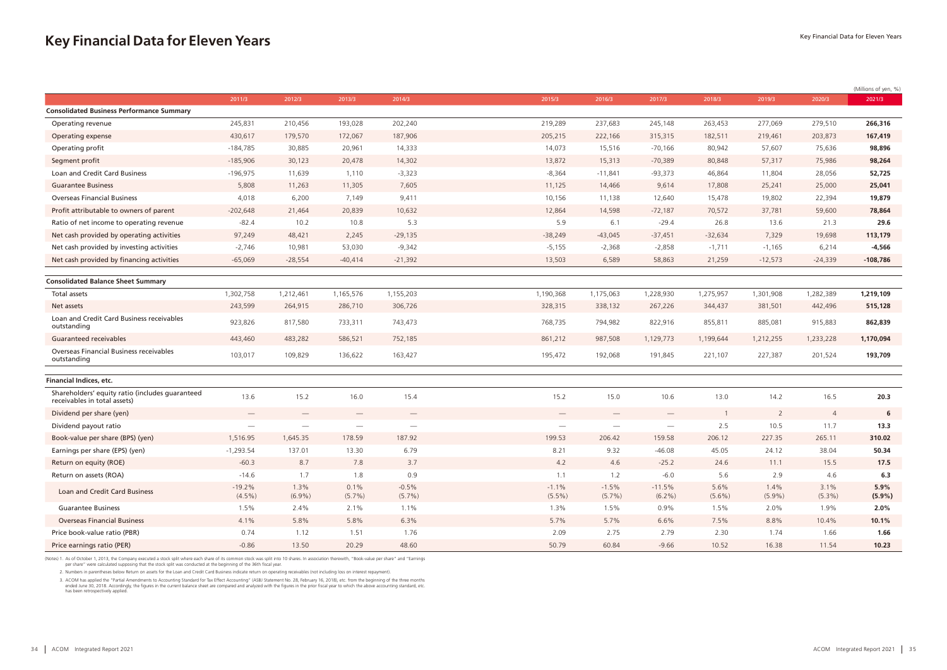# **Key Financial Data for Eleven Years** Key Financial Data for Eleven Years

|                                                                                 |                                 |                               |                                 |                                 |                                 |                          |                       |                   |                   |                   | (Millions of yen, %) |
|---------------------------------------------------------------------------------|---------------------------------|-------------------------------|---------------------------------|---------------------------------|---------------------------------|--------------------------|-----------------------|-------------------|-------------------|-------------------|----------------------|
|                                                                                 | 2011/3                          | 2012/3                        | 2013/3                          | 2014/3                          | 2015/3                          | 2016/3                   | 2017/3                | 2018/3            | 2019/3            | 2020/3            | 2021/3               |
| <b>Consolidated Business Performance Summary</b>                                |                                 |                               |                                 |                                 |                                 |                          |                       |                   |                   |                   |                      |
| Operating revenue                                                               | 245,831                         | 210,456                       | 193,028                         | 202,240                         | 219,289                         | 237,683                  | 245,148               | 263,453           | 277,069           | 279,510           | 266,316              |
| Operating expense                                                               | 430,617                         | 179,570                       | 172,067                         | 187,906                         | 205,215                         | 222,166                  | 315,315               | 182,511           | 219,461           | 203,873           | 167,419              |
| Operating profit                                                                | $-184,785$                      | 30,885                        | 20,961                          | 14,333                          | 14,073                          | 15,516                   | $-70,166$             | 80,942            | 57,607            | 75,636            | 98,896               |
| Segment profit                                                                  | $-185,906$                      | 30,123                        | 20,478                          | 14,302                          | 13,872                          | 15,313                   | $-70,389$             | 80,848            | 57,317            | 75,986            | 98,264               |
| Loan and Credit Card Business                                                   | $-196,975$                      | 11,639                        | 1,110                           | $-3,323$                        | $-8,364$                        | $-11,841$                | $-93,373$             | 46,864            | 11,804            | 28,056            | 52,725               |
| <b>Guarantee Business</b>                                                       | 5,808                           | 11,263                        | 11,305                          | 7,605                           | 11,125                          | 14,466                   | 9,614                 | 17,808            | 25,241            | 25,000            | 25,041               |
| <b>Overseas Financial Business</b>                                              | 4,018                           | 6,200                         | 7,149                           | 9,411                           | 10,156                          | 11,138                   | 12,640                | 15,478            | 19,802            | 22,394            | 19,879               |
| Profit attributable to owners of parent                                         | $-202,648$                      | 21,464                        | 20,839                          | 10,632                          | 12,864                          | 14,598                   | $-72,187$             | 70,572            | 37,781            | 59,600            | 78,864               |
| Ratio of net income to operating revenue                                        | $-82.4$                         | 10.2                          | 10.8                            | 5.3                             | 5.9                             | 6.1                      | $-29.4$               | 26.8              | 13.6              | 21.3              | 29.6                 |
| Net cash provided by operating activities                                       | 97,249                          | 48,421                        | 2,245                           | $-29,135$                       | $-38,249$                       | $-43,045$                | $-37,451$             | $-32,634$         | 7,329             | 19,698            | 113,179              |
| Net cash provided by investing activities                                       | $-2,746$                        | 10,981                        | 53,030                          | $-9,342$                        | $-5,155$                        | $-2,368$                 | $-2,858$              | $-1,711$          | $-1,165$          | 6,214             | $-4,566$             |
| Net cash provided by financing activities                                       | $-65,069$                       | $-28,554$                     | $-40,414$                       | $-21,392$                       | 13,503                          | 6,589                    | 58,863                | 21,259            | $-12,573$         | $-24,339$         | $-108,786$           |
|                                                                                 |                                 |                               |                                 |                                 |                                 |                          |                       |                   |                   |                   |                      |
| <b>Consolidated Balance Sheet Summary</b>                                       |                                 |                               |                                 |                                 |                                 |                          |                       |                   |                   |                   |                      |
| Total assets                                                                    | 1,302,758                       | 1,212,461                     | 1,165,576                       | 1,155,203                       | 1,190,368                       | 1,175,063                | 1,228,930             | 1,275,957         | 1,301,908         | 1,282,389         | 1,219,109            |
| Net assets                                                                      | 243,599                         | 264,915                       | 286,710                         | 306,726                         | 328,315                         | 338,132                  | 267,226               | 344,437           | 381,501           | 442,496           | 515,128              |
| Loan and Credit Card Business receivables<br>outstanding                        | 923,826                         | 817,580                       | 733,311                         | 743,473                         | 768,735                         | 794,982                  | 822,916               | 855,811           | 885,081           | 915,883           | 862,839              |
| <b>Guaranteed receivables</b>                                                   | 443,460                         | 483,282                       | 586,521                         | 752,185                         | 861,212                         | 987,508                  | 1,129,773             | 1,199,644         | 1,212,255         | 1,233,228         | 1,170,094            |
| Overseas Financial Business receivables<br>outstanding                          | 103,017                         | 109,829                       | 136,622                         | 163,427                         | 195,472                         | 192,068                  | 191,845               | 221,107           | 227,387           | 201,524           | 193,709              |
| <b>Financial Indices, etc.</b>                                                  |                                 |                               |                                 |                                 |                                 |                          |                       |                   |                   |                   |                      |
|                                                                                 |                                 |                               |                                 |                                 |                                 |                          |                       |                   |                   |                   |                      |
| Shareholders' equity ratio (includes guaranteed<br>receivables in total assets) | 13.6                            | 15.2                          | 16.0                            | 15.4                            | 15.2                            | 15.0                     | 10.6                  | 13.0              | 14.2              | 16.5              | 20.3                 |
| Dividend per share (yen)                                                        | $\hspace{0.1mm}-\hspace{0.1mm}$ | $\overbrace{\phantom{12332}}$ | $\hspace{0.1mm}-\hspace{0.1mm}$ | $\hspace{0.1mm}-\hspace{0.1mm}$ | $\hspace{0.1mm}-\hspace{0.1mm}$ |                          | $\hspace{0.05cm}$     | $\overline{1}$    | $\overline{2}$    | $\overline{4}$    | 6                    |
| Dividend payout ratio                                                           |                                 |                               | $\hspace{0.05cm}$               | $\overline{\phantom{0}}$        | $\hspace{0.05cm}$               | $\overline{\phantom{0}}$ |                       | 2.5               | 10.5              | 11.7              | 13.3                 |
| Book-value per share (BPS) (yen)                                                | 1,516.95                        | 1,645.35                      | 178.59                          | 187.92                          | 199.53                          | 206.42                   | 159.58                | 206.12            | 227.35            | 265.11            | 310.02               |
| Earnings per share (EPS) (yen)                                                  | $-1,293.54$                     | 137.01                        | 13.30                           | 6.79                            | 8.21                            | 9.32                     | $-46.08$              | 45.05             | 24.12             | 38.04             | 50.34                |
| Return on equity (ROE)                                                          | $-60.3$                         | 8.7                           | 7.8                             | 3.7                             | 4.2                             | 4.6                      | $-25.2$               | 24.6              | 11.1              | 15.5              | 17.5                 |
| Return on assets (ROA)                                                          | $-14.6$                         | 1.7                           | 1.8                             | 0.9                             | 1.1                             | 1.2                      | $-6.0$                | 5.6               | 2.9               | 4.6               | 6.3                  |
| Loan and Credit Card Business                                                   | $-19.2%$<br>$(4.5\%)$           | 1.3%<br>$(6.9\%)$             | 0.1%<br>$(5.7\%)$               | $-0.5%$<br>$(5.7\%)$            | $-1.1%$<br>$(5.5\%)$            | $-1.5%$<br>$(5.7\%)$     | $-11.5%$<br>$(6.2\%)$ | 5.6%<br>$(5.6\%)$ | 1.4%<br>$(5.9\%)$ | 3.1%<br>$(5.3\%)$ | 5.9%<br>$(5.9\%)$    |
| <b>Guarantee Business</b>                                                       | 1.5%                            | 2.4%                          | 2.1%                            | 1.1%                            | 1.3%                            | 1.5%                     | 0.9%                  | 1.5%              | 2.0%              | 1.9%              | 2.0%                 |
| <b>Overseas Financial Business</b>                                              | 4.1%                            | 5.8%                          | 5.8%                            | 6.3%                            | 5.7%                            | 5.7%                     | 6.6%                  | 7.5%              | 8.8%              | 10.4%             | 10.1%                |
| Price book-value ratio (PBR)                                                    | 0.74                            | 1.12                          | 1.51                            | 1.76                            | 2.09                            | 2.75                     | 2.79                  | 2.30              | 1.74              | 1.66              | 1.66                 |
| Price earnings ratio (PER)                                                      | $-0.86$                         | 13.50                         | 20.29                           | 48.60                           | 50.79                           | 60.84                    | $-9.66$               | 10.52             | 16.38             | 11.54             | 10.23                |

(Notes) 1. As of October 1, 2013, the Company executed a stock split where each share of its common stock was split into 10 shares. In association therewith, "Book-value per share" and "Earnings per share" were calculated supposing that the stock split was conducted at the beginning of the 36th fiscal year.

2. Numbers in parentheses below Return on assets for the Loan and Credit Card Business indicate return on operating receivables (not including loss on interest repayment).

3. ACOM has applied the "Partial Amendments to Accounting Standard for Tax Effect Accounting" (ASBJ Statement No. 28, February 16, 2018), etc. from the beginning of the three months<br>ended June 30, 2018. Accordingly, the fi